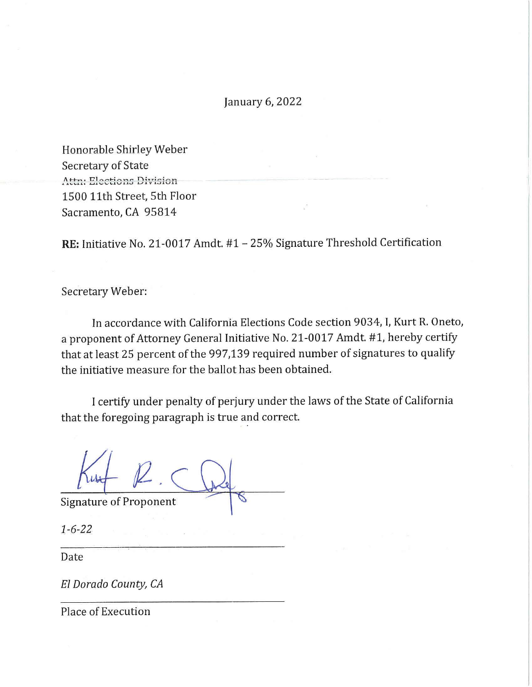January 6, 2022

Honorable Shirley Weber Secretary of State  $\Lambda$ ttn: Elections Division 1500 11th Street, 5th Floor Sacramento, CA 95814

RE: Initiative No. 21-0017 Amdt. #1 - 25% Signature Threshold Certification

Secretary Weber:

In accordance with California Elections Code section 9034, I, Kurt R. Oneto, a proponent of Attorney General Initiative No. 21-0017 Amdt. #1, hereby certify that at least 25 percent of the 997,139 required number of signatures to qualify the initiative measure for the ballot has been obtained.

I certify under penalty of perjury under the laws of the State of California that the foregoing paragraph is true and correct.

 $Ku+1$ 

Signature of Proponent

1-6-22

Date

*El Dorado County, CA* 

Place of Execution